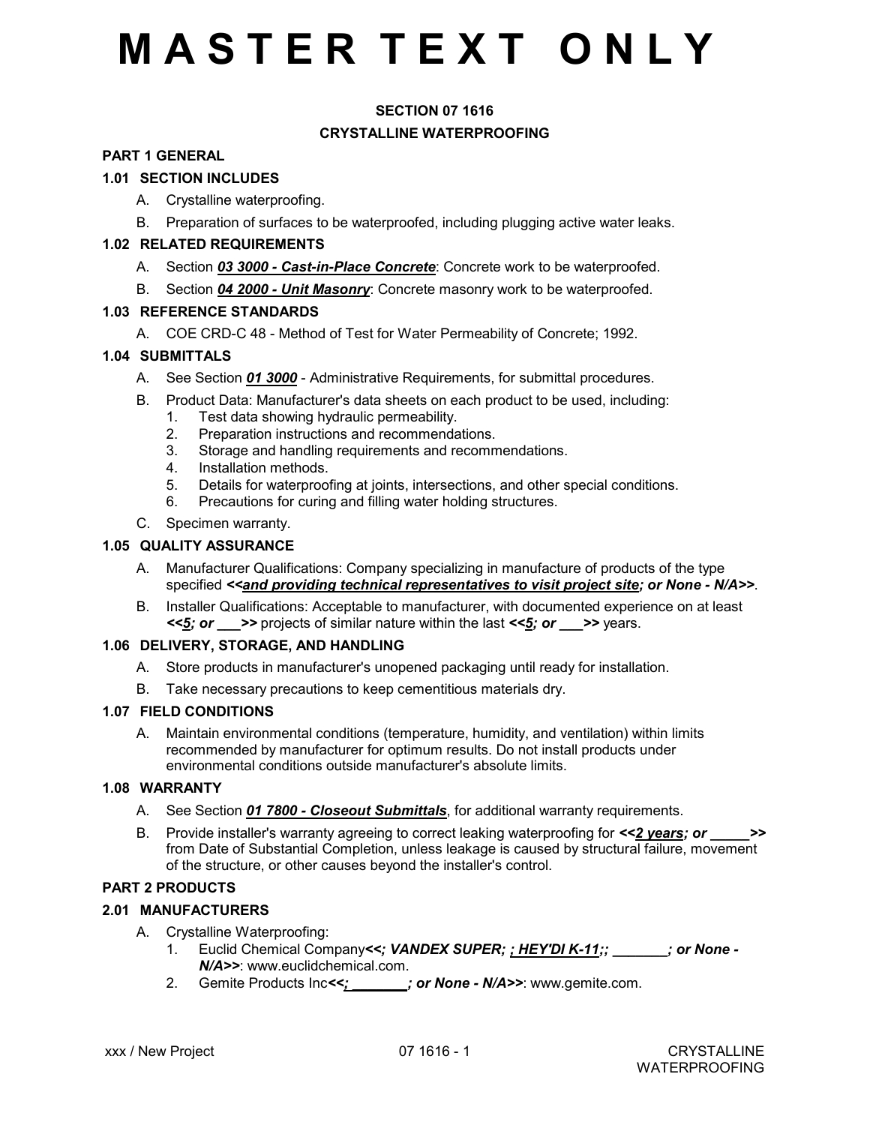# **M A S T E R T E X T O N L Y**

# **SECTION 07 1616 CRYSTALLINE WATERPROOFING**

### **PART 1 GENERAL**

### **1.01 SECTION INCLUDES**

- A. Crystalline waterproofing.
- B. Preparation of surfaces to be waterproofed, including plugging active water leaks.

### **1.02 RELATED REQUIREMENTS**

- A. Section *03 3000 Cast-in-Place Concrete*: Concrete work to be waterproofed.
- B. Section *04 2000 Unit Masonry*: Concrete masonry work to be waterproofed.

### **1.03 REFERENCE STANDARDS**

A. COE CRD-C 48 - Method of Test for Water Permeability of Concrete; 1992.

# **1.04 SUBMITTALS**

- A. See Section *01 3000* Administrative Requirements, for submittal procedures.
- B. Product Data: Manufacturer's data sheets on each product to be used, including:
	- 1. Test data showing hydraulic permeability.
	- 2. Preparation instructions and recommendations.
	- 3. Storage and handling requirements and recommendations.
	- 4. Installation methods.
	- 5. Details for waterproofing at joints, intersections, and other special conditions.
	- 6. Precautions for curing and filling water holding structures.
- C. Specimen warranty.

### **1.05 QUALITY ASSURANCE**

- A. Manufacturer Qualifications: Company specializing in manufacture of products of the type specified <<and providing technical representatives to visit project site; or None - N/A>>.
- B. Installer Qualifications: Acceptable to manufacturer, with documented experience on at least *<<5; or \_\_\_>>* projects of similar nature within the last *<<5; or \_\_\_>>* years.

### **1.06 DELIVERY, STORAGE, AND HANDLING**

- A. Store products in manufacturer's unopened packaging until ready for installation.
- B. Take necessary precautions to keep cementitious materials dry.

#### **1.07 FIELD CONDITIONS**

A. Maintain environmental conditions (temperature, humidity, and ventilation) within limits recommended by manufacturer for optimum results. Do not install products under environmental conditions outside manufacturer's absolute limits.

### **1.08 WARRANTY**

- A. See Section *01 7800 Closeout Submittals*, for additional warranty requirements.
- B. Provide installer's warranty agreeing to correct leaking waterproofing for *<<2 years; or \_\_\_\_\_>>* from Date of Substantial Completion, unless leakage is caused by structural failure, movement of the structure, or other causes beyond the installer's control.

# **PART 2 PRODUCTS**

# **2.01 MANUFACTURERS**

- A. Crystalline Waterproofing:
	- 1. Euclid Chemical Company*<<; VANDEX SUPER; ; HEY'DI K-11;; \_\_\_\_\_\_\_; or None - N/A>>*: www.euclidchemical.com.
	- 2. Gemite Products Inc*<<; \_\_\_\_\_\_\_; or None N/A>>*: www.gemite.com.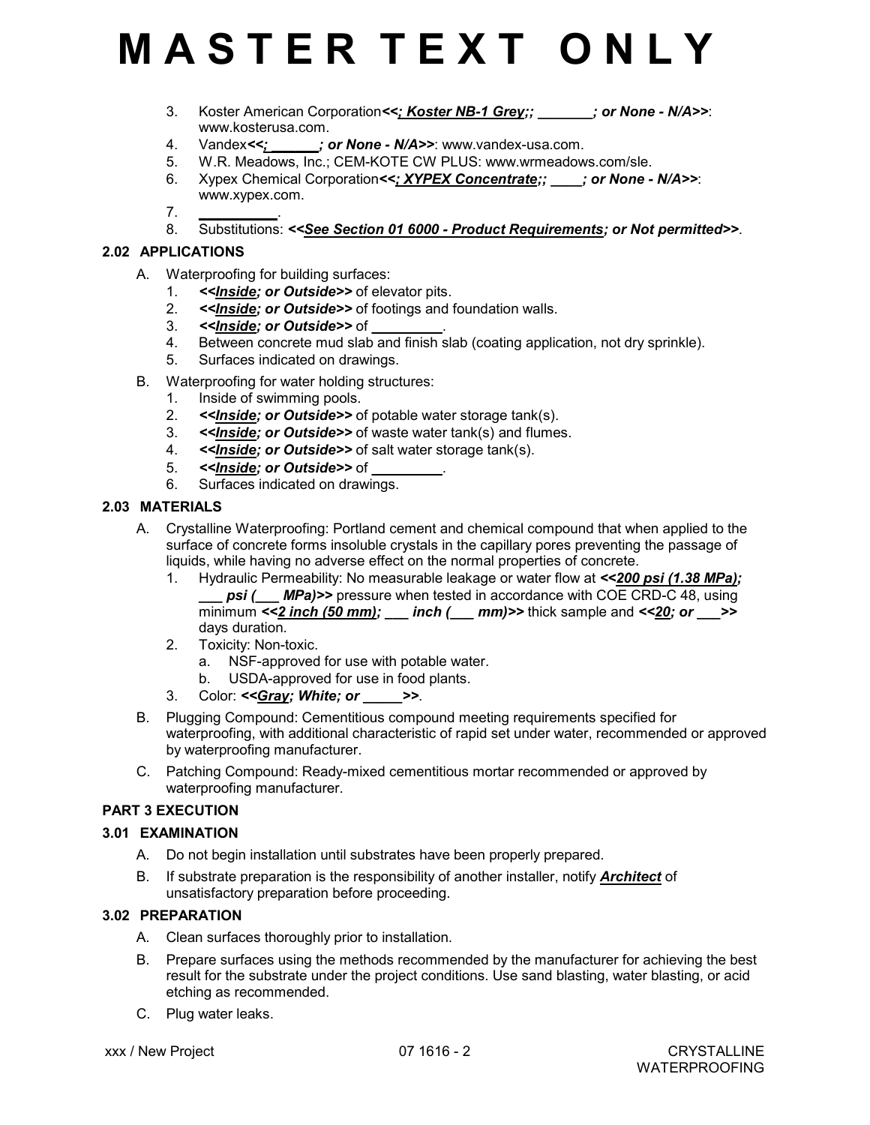# **M A S T E R T E X T O N L Y**

- 3. Koster American Corporation*<<; Koster NB-1 Grey;; \_\_\_\_\_\_\_; or None N/A>>*: www.kosterusa.com.
- 4. Vandex<<;  $\cdot$  ; or None N/A>>: www.vandex-usa.com.
- 5. W.R. Meadows, Inc.; CEM-KOTE CW PLUS: www.wrmeadows.com/sle.
- 6. Xypex Chemical Corporation*<<; XYPEX Concentrate;; \_\_\_\_; or None N/A>>*: www.xypex.com.
- 7. *\_\_\_\_\_\_\_\_\_\_*.
- 8. Substitutions: *<<See Section 01 6000 Product Requirements; or Not permitted>>*.

# **2.02 APPLICATIONS**

- A. Waterproofing for building surfaces:
	- 1. *<<Inside; or Outside>>* of elevator pits.
	- 2. *<<Inside; or Outside>>* of footings and foundation walls.
	- 3. <<*Inside; or Outside>>* of
	- 4. Between concrete mud slab and finish slab (coating application, not dry sprinkle).
	- 5. Surfaces indicated on drawings.
- B. Waterproofing for water holding structures:
	- 1. Inside of swimming pools.
	- 2. *<<Inside; or Outside>>* of potable water storage tank(s).
	- 3. *<<Inside; or Outside>>* of waste water tank(s) and flumes.
	- 4. *<<Inside; or Outside>>* of salt water storage tank(s).
	- 5. << *Inside; or Outside>>* of
	- 6. Surfaces indicated on drawings.

# **2.03 MATERIALS**

- A. Crystalline Waterproofing: Portland cement and chemical compound that when applied to the surface of concrete forms insoluble crystals in the capillary pores preventing the passage of liquids, while having no adverse effect on the normal properties of concrete.
	- 1. Hydraulic Permeability: No measurable leakage or water flow at *<<200 psi (1.38 MPa); psi (Alperigniesial psi (Alperigniesi)* pressure when tested in accordance with COE CRD-C 48, using minimum  $\leq$  2 inch (50 mm); \_\_\_ inch (\_\_\_ mm)>> thick sample and  $\leq$  20; or  $\geq$  > days duration.
	- 2. Toxicity: Non-toxic.
		- a. NSF-approved for use with potable water.
		- b. USDA-approved for use in food plants.
	- 3. Color: *<<Gray; White; or \_\_\_\_\_>>*.
- B. Plugging Compound: Cementitious compound meeting requirements specified for waterproofing, with additional characteristic of rapid set under water, recommended or approved by waterproofing manufacturer.
- C. Patching Compound: Ready-mixed cementitious mortar recommended or approved by waterproofing manufacturer.

# **PART 3 EXECUTION**

# **3.01 EXAMINATION**

- A. Do not begin installation until substrates have been properly prepared.
- B. If substrate preparation is the responsibility of another installer, notify *Architect* of unsatisfactory preparation before proceeding.

# **3.02 PREPARATION**

- A. Clean surfaces thoroughly prior to installation.
- B. Prepare surfaces using the methods recommended by the manufacturer for achieving the best result for the substrate under the project conditions. Use sand blasting, water blasting, or acid etching as recommended.
- C. Plug water leaks.